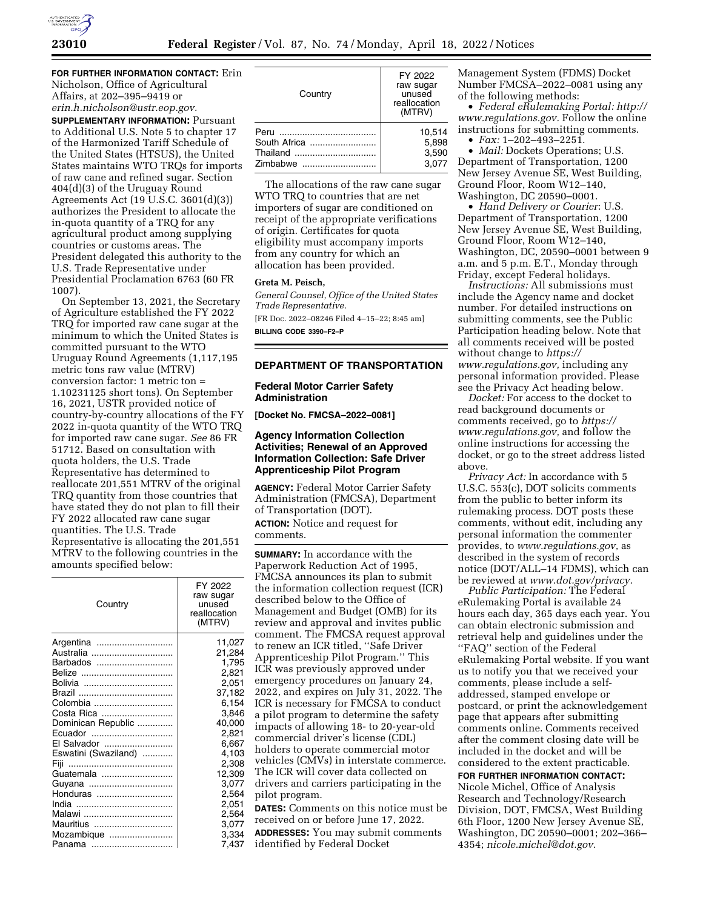

**FOR FURTHER INFORMATION CONTACT:** Erin Nicholson, Office of Agricultural Affairs, at 202–395–9419 or *[erin.h.nicholson@ustr.eop.gov.](mailto:erin.h.nicholson@ustr.eop.gov)* 

**SUPPLEMENTARY INFORMATION:** Pursuant to Additional U.S. Note 5 to chapter 17 of the Harmonized Tariff Schedule of the United States (HTSUS), the United States maintains WTO TRQs for imports of raw cane and refined sugar. Section 404(d)(3) of the Uruguay Round Agreements Act (19 U.S.C. 3601(d)(3)) authorizes the President to allocate the in-quota quantity of a TRQ for any agricultural product among supplying countries or customs areas. The President delegated this authority to the U.S. Trade Representative under Presidential Proclamation 6763 (60 FR 1007).

On September 13, 2021, the Secretary of Agriculture established the FY 2022 TRQ for imported raw cane sugar at the minimum to which the United States is committed pursuant to the WTO Uruguay Round Agreements (1,117,195 metric tons raw value (MTRV) conversion factor: 1 metric ton = 1.10231125 short tons). On September 16, 2021, USTR provided notice of country-by-country allocations of the FY 2022 in-quota quantity of the WTO TRQ for imported raw cane sugar. *See* 86 FR 51712. Based on consultation with quota holders, the U.S. Trade Representative has determined to reallocate 201,551 MTRV of the original TRQ quantity from those countries that have stated they do not plan to fill their FY 2022 allocated raw cane sugar quantities. The U.S. Trade Representative is allocating the 201,551 MTRV to the following countries in the amounts specified below:

| Country              | FY 2022<br>raw sugar<br>unused<br>reallocation<br>(MTRV) |
|----------------------|----------------------------------------------------------|
| Argentina            | 11,027                                                   |
| Australia            | 21,284                                                   |
| Barbados             | 1,795                                                    |
|                      | 2,821                                                    |
|                      | 2,051                                                    |
|                      | 37,182                                                   |
| Colombia             | 6,154                                                    |
| Costa Rica           | 3.846                                                    |
| Dominican Republic   | 40,000                                                   |
| Ecuador              | 2,821                                                    |
| El Salvador          | 6.667                                                    |
| Eswatini (Swaziland) | 4,103                                                    |
| Fiji                 | 2,308                                                    |
| Guatemala            | 12,309                                                   |
| Guyana               | 3,077                                                    |
| Honduras             | 2,564                                                    |
|                      | 2,051                                                    |
| Malawi               | 2,564                                                    |
| Mauritius            | 3,077                                                    |
| Mozambique           | 3,334                                                    |
| Panama               | 7,437                                                    |

| Country                                      | FY 2022<br>raw sugar<br>unused<br>reallocation<br>(MTRV) |
|----------------------------------------------|----------------------------------------------------------|
| Peru<br>South Africa<br>Thailand<br>Zimbabwe | 10.514<br>5.898<br>3,590<br>3.077                        |

The allocations of the raw cane sugar WTO TRQ to countries that are net importers of sugar are conditioned on receipt of the appropriate verifications of origin. Certificates for quota eligibility must accompany imports from any country for which an allocation has been provided.

## **Greta M. Peisch,**

*General Counsel, Office of the United States Trade Representative.*  [FR Doc. 2022–08246 Filed 4–15–22; 8:45 am] **BILLING CODE 3390–F2–P** 

# **DEPARTMENT OF TRANSPORTATION**

# **Federal Motor Carrier Safety Administration**

**[Docket No. FMCSA–2022–0081]** 

# **Agency Information Collection Activities; Renewal of an Approved Information Collection: Safe Driver Apprenticeship Pilot Program**

**AGENCY:** Federal Motor Carrier Safety Administration (FMCSA), Department of Transportation (DOT).

**ACTION:** Notice and request for comments.

**SUMMARY:** In accordance with the Paperwork Reduction Act of 1995, FMCSA announces its plan to submit the information collection request (ICR) described below to the Office of Management and Budget (OMB) for its review and approval and invites public comment. The FMCSA request approval to renew an ICR titled, ''Safe Driver Apprenticeship Pilot Program.'' This ICR was previously approved under emergency procedures on January 24, 2022, and expires on July 31, 2022. The ICR is necessary for FMCSA to conduct a pilot program to determine the safety impacts of allowing 18- to 20-year-old commercial driver's license (CDL) holders to operate commercial motor vehicles (CMVs) in interstate commerce. The ICR will cover data collected on drivers and carriers participating in the pilot program. **DATES:** Comments on this notice must be received on or before June 17, 2022. **ADDRESSES:** You may submit comments identified by Federal Docket

Management System (FDMS) Docket Number FMCSA–2022–0081 using any of the following methods:

• *Federal eRulemaking Portal: [http://](http://www.regulations.gov)  [www.regulations.gov.](http://www.regulations.gov)* Follow the online instructions for submitting comments.

• *Fax:* 1–202–493–2251.

• *Mail:* Dockets Operations; U.S. Department of Transportation, 1200 New Jersey Avenue SE, West Building, Ground Floor, Room W12–140, Washington, DC 20590–0001.

• *Hand Delivery or Courier*: U.S. Department of Transportation, 1200 New Jersey Avenue SE, West Building, Ground Floor, Room W12–140, Washington, DC, 20590–0001 between 9 a.m. and 5 p.m. E.T., Monday through Friday, except Federal holidays.

*Instructions:* All submissions must include the Agency name and docket number. For detailed instructions on submitting comments, see the Public Participation heading below. Note that all comments received will be posted without change to *[https://](https://www.regulations.gov) [www.regulations.gov,](https://www.regulations.gov)* including any personal information provided. Please see the Privacy Act heading below.

*Docket:* For access to the docket to read background documents or comments received, go to *[https://](https://www.regulations.gov) [www.regulations.gov,](https://www.regulations.gov)* and follow the online instructions for accessing the docket, or go to the street address listed above.

*Privacy Act:* In accordance with 5 U.S.C. 553(c), DOT solicits comments from the public to better inform its rulemaking process. DOT posts these comments, without edit, including any personal information the commenter provides, to *[www.regulations.gov,](http://www.regulations.gov)* as described in the system of records notice (DOT/ALL–14 FDMS), which can be reviewed at *[www.dot.gov/privacy.](http://www.dot.gov/privacy)* 

*Public Participation:* The Federal eRulemaking Portal is available 24 hours each day, 365 days each year. You can obtain electronic submission and retrieval help and guidelines under the ''FAQ'' section of the Federal eRulemaking Portal website. If you want us to notify you that we received your comments, please include a selfaddressed, stamped envelope or postcard, or print the acknowledgement page that appears after submitting comments online. Comments received after the comment closing date will be included in the docket and will be considered to the extent practicable.

**FOR FURTHER INFORMATION CONTACT:**  Nicole Michel, Office of Analysis Research and Technology/Research Division, DOT, FMCSA, West Building 6th Floor, 1200 New Jersey Avenue SE, Washington, DC 20590–0001; 202–366– 4354; *[nicole.michel@dot.gov.](mailto:nicole.michel@dot.gov)*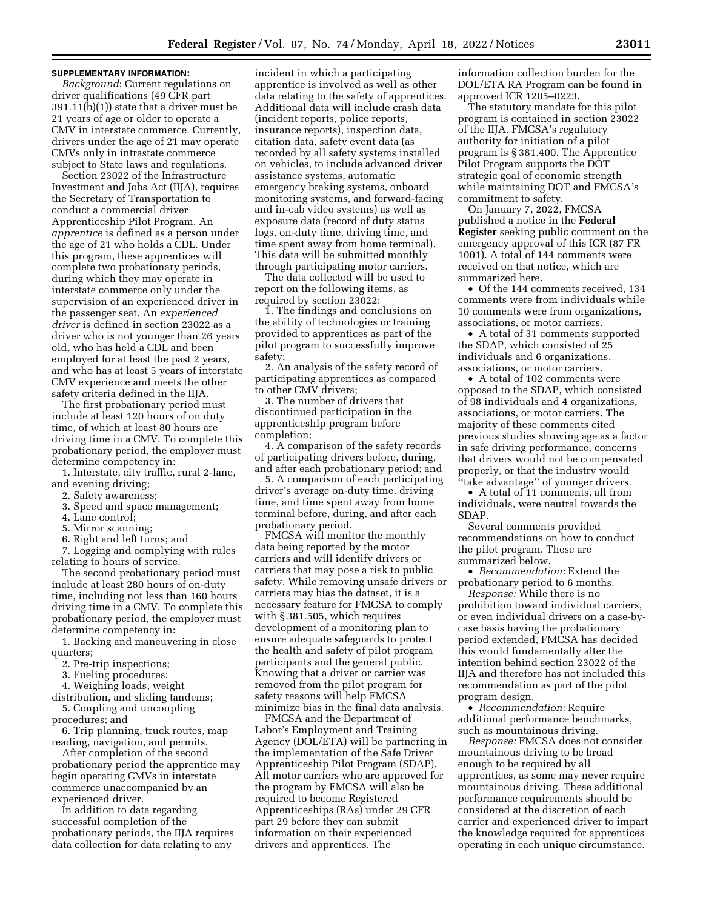### **SUPPLEMENTARY INFORMATION:**

*Background*: Current regulations on driver qualifications (49 CFR part 391.11(b)(1)) state that a driver must be 21 years of age or older to operate a CMV in interstate commerce. Currently, drivers under the age of 21 may operate CMVs only in intrastate commerce subject to State laws and regulations.

Section 23022 of the Infrastructure Investment and Jobs Act (IIJA), requires the Secretary of Transportation to conduct a commercial driver Apprenticeship Pilot Program. An *apprentice* is defined as a person under the age of 21 who holds a CDL. Under this program, these apprentices will complete two probationary periods, during which they may operate in interstate commerce only under the supervision of an experienced driver in the passenger seat. An *experienced driver* is defined in section 23022 as a driver who is not younger than 26 years old, who has held a CDL and been employed for at least the past 2 years, and who has at least 5 years of interstate CMV experience and meets the other safety criteria defined in the IIJA.

The first probationary period must include at least 120 hours of on duty time, of which at least 80 hours are driving time in a CMV. To complete this probationary period, the employer must determine competency in:

1. Interstate, city traffic, rural 2-lane, and evening driving;

- 2. Safety awareness;
- 3. Speed and space management;
- 4. Lane control;
- 5. Mirror scanning;
- 6. Right and left turns; and

7. Logging and complying with rules relating to hours of service.

The second probationary period must include at least 280 hours of on-duty time, including not less than 160 hours driving time in a CMV. To complete this probationary period, the employer must determine competency in:

1. Backing and maneuvering in close quarters;

2. Pre-trip inspections;

3. Fueling procedures;

4. Weighing loads, weight

distribution, and sliding tandems; 5. Coupling and uncoupling

procedures; and

6. Trip planning, truck routes, map reading, navigation, and permits.

After completion of the second probationary period the apprentice may begin operating CMVs in interstate commerce unaccompanied by an experienced driver.

In addition to data regarding successful completion of the probationary periods, the IIJA requires data collection for data relating to any

incident in which a participating apprentice is involved as well as other data relating to the safety of apprentices. Additional data will include crash data (incident reports, police reports, insurance reports), inspection data, citation data, safety event data (as recorded by all safety systems installed on vehicles, to include advanced driver assistance systems, automatic emergency braking systems, onboard monitoring systems, and forward-facing and in-cab video systems) as well as exposure data (record of duty status logs, on-duty time, driving time, and time spent away from home terminal). This data will be submitted monthly through participating motor carriers.

The data collected will be used to report on the following items, as required by section 23022:

1. The findings and conclusions on the ability of technologies or training provided to apprentices as part of the pilot program to successfully improve safety;

2. An analysis of the safety record of participating apprentices as compared to other CMV drivers;

3. The number of drivers that discontinued participation in the apprenticeship program before completion;

4. A comparison of the safety records of participating drivers before, during, and after each probationary period; and

5. A comparison of each participating driver's average on-duty time, driving time, and time spent away from home terminal before, during, and after each probationary period.

FMCSA will monitor the monthly data being reported by the motor carriers and will identify drivers or carriers that may pose a risk to public safety. While removing unsafe drivers or carriers may bias the dataset, it is a necessary feature for FMCSA to comply with § 381.505, which requires development of a monitoring plan to ensure adequate safeguards to protect the health and safety of pilot program participants and the general public. Knowing that a driver or carrier was removed from the pilot program for safety reasons will help FMCSA minimize bias in the final data analysis.

FMCSA and the Department of Labor's Employment and Training Agency (DOL/ETA) will be partnering in the implementation of the Safe Driver Apprenticeship Pilot Program (SDAP). All motor carriers who are approved for the program by FMCSA will also be required to become Registered Apprenticeships (RAs) under 29 CFR part 29 before they can submit information on their experienced drivers and apprentices. The

information collection burden for the DOL/ETA RA Program can be found in approved ICR 1205–0223.

The statutory mandate for this pilot program is contained in section 23022 of the IIJA. FMCSA's regulatory authority for initiation of a pilot program is § 381.400. The Apprentice Pilot Program supports the DOT strategic goal of economic strength while maintaining DOT and FMCSA's commitment to safety.

On January 7, 2022, FMCSA published a notice in the **Federal Register** seeking public comment on the emergency approval of this ICR (87 FR 1001). A total of 144 comments were received on that notice, which are summarized here.

• Of the 144 comments received, 134 comments were from individuals while 10 comments were from organizations, associations, or motor carriers.

• A total of 31 comments supported the SDAP, which consisted of 25 individuals and 6 organizations, associations, or motor carriers.

• A total of 102 comments were opposed to the SDAP, which consisted of 98 individuals and 4 organizations, associations, or motor carriers. The majority of these comments cited previous studies showing age as a factor in safe driving performance, concerns that drivers would not be compensated properly, or that the industry would ''take advantage'' of younger drivers.

• A total of 11 comments, all from individuals, were neutral towards the SDAP.

Several comments provided recommendations on how to conduct the pilot program. These are summarized below.

• *Recommendation:* Extend the probationary period to 6 months.

*Response:* While there is no prohibition toward individual carriers, or even individual drivers on a case-bycase basis having the probationary period extended, FMCSA has decided this would fundamentally alter the intention behind section 23022 of the IIJA and therefore has not included this recommendation as part of the pilot program design.

• *Recommendation:* Require additional performance benchmarks, such as mountainous driving.

*Response:* FMCSA does not consider mountainous driving to be broad enough to be required by all apprentices, as some may never require mountainous driving. These additional performance requirements should be considered at the discretion of each carrier and experienced driver to impart the knowledge required for apprentices operating in each unique circumstance.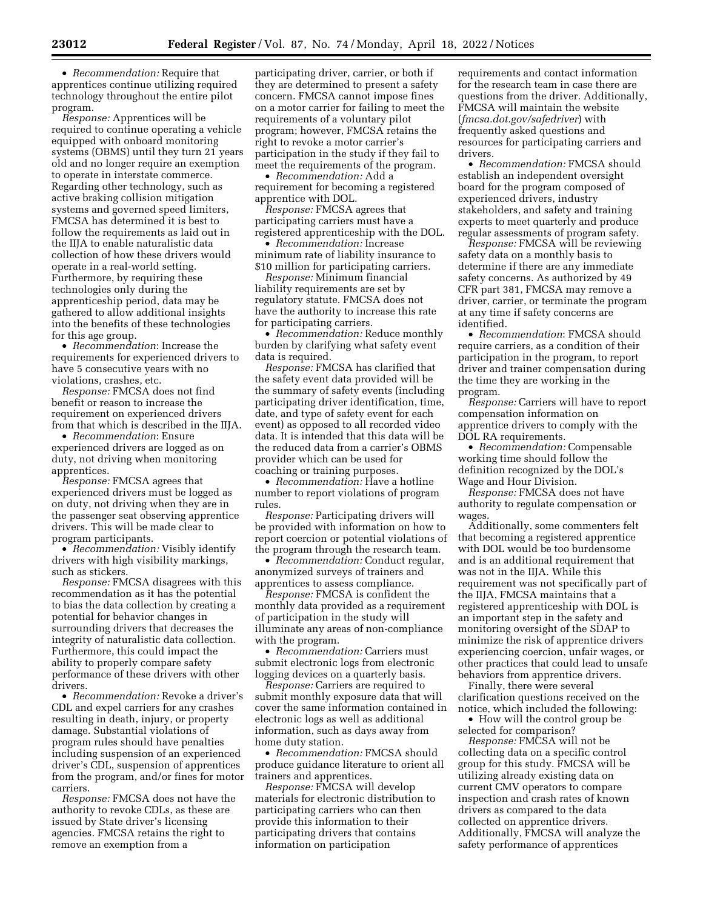• *Recommendation:* Require that apprentices continue utilizing required technology throughout the entire pilot program.

*Response:* Apprentices will be required to continue operating a vehicle equipped with onboard monitoring systems (OBMS) until they turn 21 years old and no longer require an exemption to operate in interstate commerce. Regarding other technology, such as active braking collision mitigation systems and governed speed limiters, FMCSA has determined it is best to follow the requirements as laid out in the IIJA to enable naturalistic data collection of how these drivers would operate in a real-world setting. Furthermore, by requiring these technologies only during the apprenticeship period, data may be gathered to allow additional insights into the benefits of these technologies for this age group.

• *Recommendation*: Increase the requirements for experienced drivers to have 5 consecutive years with no violations, crashes, etc.

*Response:* FMCSA does not find benefit or reason to increase the requirement on experienced drivers from that which is described in the IIJA.

• *Recommendation*: Ensure experienced drivers are logged as on duty, not driving when monitoring apprentices.

*Response:* FMCSA agrees that experienced drivers must be logged as on duty, not driving when they are in the passenger seat observing apprentice drivers. This will be made clear to program participants.

• *Recommendation:* Visibly identify drivers with high visibility markings, such as stickers.

*Response:* FMCSA disagrees with this recommendation as it has the potential to bias the data collection by creating a potential for behavior changes in surrounding drivers that decreases the integrity of naturalistic data collection. Furthermore, this could impact the ability to properly compare safety performance of these drivers with other drivers.

• *Recommendation:* Revoke a driver's CDL and expel carriers for any crashes resulting in death, injury, or property damage. Substantial violations of program rules should have penalties including suspension of an experienced driver's CDL, suspension of apprentices from the program, and/or fines for motor carriers.

*Response:* FMCSA does not have the authority to revoke CDLs, as these are issued by State driver's licensing agencies. FMCSA retains the right to remove an exemption from a

participating driver, carrier, or both if they are determined to present a safety concern. FMCSA cannot impose fines on a motor carrier for failing to meet the requirements of a voluntary pilot program; however, FMCSA retains the right to revoke a motor carrier's participation in the study if they fail to meet the requirements of the program.

• *Recommendation:* Add a requirement for becoming a registered apprentice with DOL.

*Response:* FMCSA agrees that participating carriers must have a registered apprenticeship with the DOL.

• *Recommendation:* Increase minimum rate of liability insurance to \$10 million for participating carriers.

*Response:* Minimum financial liability requirements are set by regulatory statute. FMCSA does not have the authority to increase this rate for participating carriers.

• *Recommendation:* Reduce monthly burden by clarifying what safety event data is required.

*Response:* FMCSA has clarified that the safety event data provided will be the summary of safety events (including participating driver identification, time, date, and type of safety event for each event) as opposed to all recorded video data. It is intended that this data will be the reduced data from a carrier's OBMS provider which can be used for coaching or training purposes.

• *Recommendation:* Have a hotline number to report violations of program rules.

*Response:* Participating drivers will be provided with information on how to report coercion or potential violations of the program through the research team.

• *Recommendation:* Conduct regular, anonymized surveys of trainers and apprentices to assess compliance.

*Response:* FMCSA is confident the monthly data provided as a requirement of participation in the study will illuminate any areas of non-compliance with the program.

• *Recommendation:* Carriers must submit electronic logs from electronic logging devices on a quarterly basis.

*Response:* Carriers are required to submit monthly exposure data that will cover the same information contained in electronic logs as well as additional information, such as days away from home duty station.

• *Recommendation:* FMCSA should produce guidance literature to orient all trainers and apprentices.

*Response:* FMCSA will develop materials for electronic distribution to participating carriers who can then provide this information to their participating drivers that contains information on participation

requirements and contact information for the research team in case there are questions from the driver. Additionally, FMCSA will maintain the website (*fmcsa.dot.gov/safedriver*) with frequently asked questions and resources for participating carriers and drivers.

• *Recommendation:* FMCSA should establish an independent oversight board for the program composed of experienced drivers, industry stakeholders, and safety and training experts to meet quarterly and produce regular assessments of program safety.

*Response:* FMCSA will be reviewing safety data on a monthly basis to determine if there are any immediate safety concerns. As authorized by 49 CFR part 381, FMCSA may remove a driver, carrier, or terminate the program at any time if safety concerns are identified.

• *Recommendation*: FMCSA should require carriers, as a condition of their participation in the program, to report driver and trainer compensation during the time they are working in the program.

*Response:* Carriers will have to report compensation information on apprentice drivers to comply with the DOL RA requirements.

• *Recommendation:* Compensable working time should follow the definition recognized by the DOL's Wage and Hour Division.

*Response:* FMCSA does not have authority to regulate compensation or wages.

Additionally, some commenters felt that becoming a registered apprentice with DOL would be too burdensome and is an additional requirement that was not in the IIJA. While this requirement was not specifically part of the IIJA, FMCSA maintains that a registered apprenticeship with DOL is an important step in the safety and monitoring oversight of the SDAP to minimize the risk of apprentice drivers experiencing coercion, unfair wages, or other practices that could lead to unsafe behaviors from apprentice drivers.

Finally, there were several clarification questions received on the notice, which included the following: • How will the control group be

selected for comparison?

*Response:* FMCSA will not be collecting data on a specific control group for this study. FMCSA will be utilizing already existing data on current CMV operators to compare inspection and crash rates of known drivers as compared to the data collected on apprentice drivers. Additionally, FMCSA will analyze the safety performance of apprentices